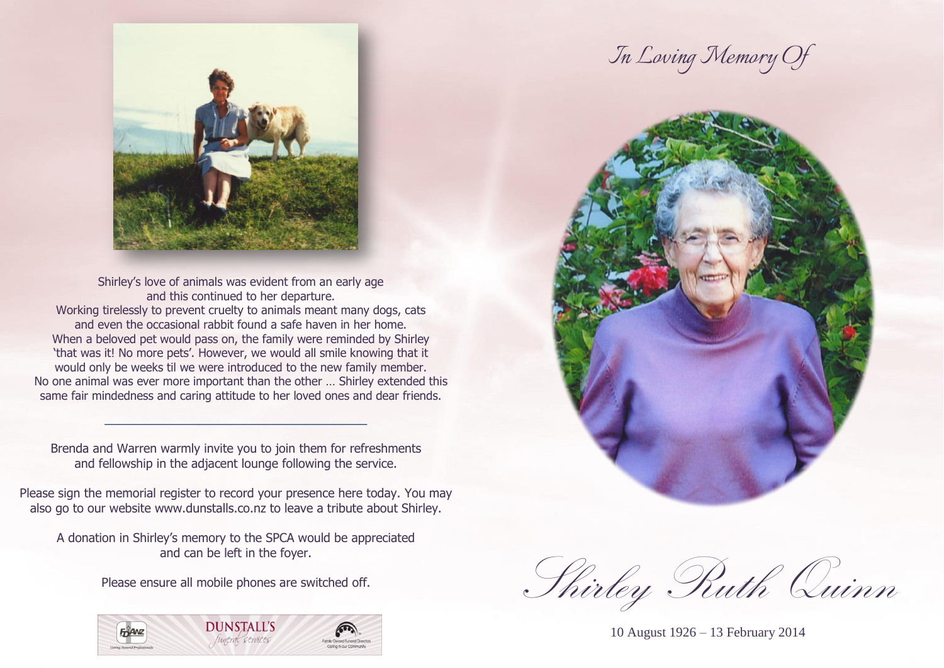

Shirley's love of animals was evident from an early age and this continued to her departure. Working tirelessly to prevent cruelty to animals meant many dogs, cats and even the occasional rabbit found a safe haven in her home. When a beloved pet would pass on, the family were reminded by Shirley 'that was it! No more pets'. However, we would all smile knowing that it would only be weeks til we were introduced to the new family member. No one animal was ever more important than the other … Shirley extended this same fair mindedness and caring attitude to her loved ones and dear friends.

Brenda and Warren warmly invite you to join them for refreshments and fellowship in the adjacent lounge following the service.

 $\frac{1}{2}$  ,  $\frac{1}{2}$  ,  $\frac{1}{2}$  ,  $\frac{1}{2}$  ,  $\frac{1}{2}$  ,  $\frac{1}{2}$  ,  $\frac{1}{2}$  ,  $\frac{1}{2}$  ,  $\frac{1}{2}$  ,  $\frac{1}{2}$  ,  $\frac{1}{2}$  ,  $\frac{1}{2}$  ,  $\frac{1}{2}$  ,  $\frac{1}{2}$  ,  $\frac{1}{2}$  ,  $\frac{1}{2}$  ,  $\frac{1}{2}$  ,  $\frac{1}{2}$  ,  $\frac{1$ 

Please sign the memorial register to record your presence here today. You may also go to our website [www.dunstalls.co.nz](http://www.dunstalls.co.nz/) to leave a tribute about Shirley.

A donation in Shirley's memory to the SPCA would be appreciated and can be left in the foyer.

Please ensure all mobile phones are switched off.



*In Loving Memory Of*



Shirley Ruth Quinn

10 August 1926 – 13 February 2014